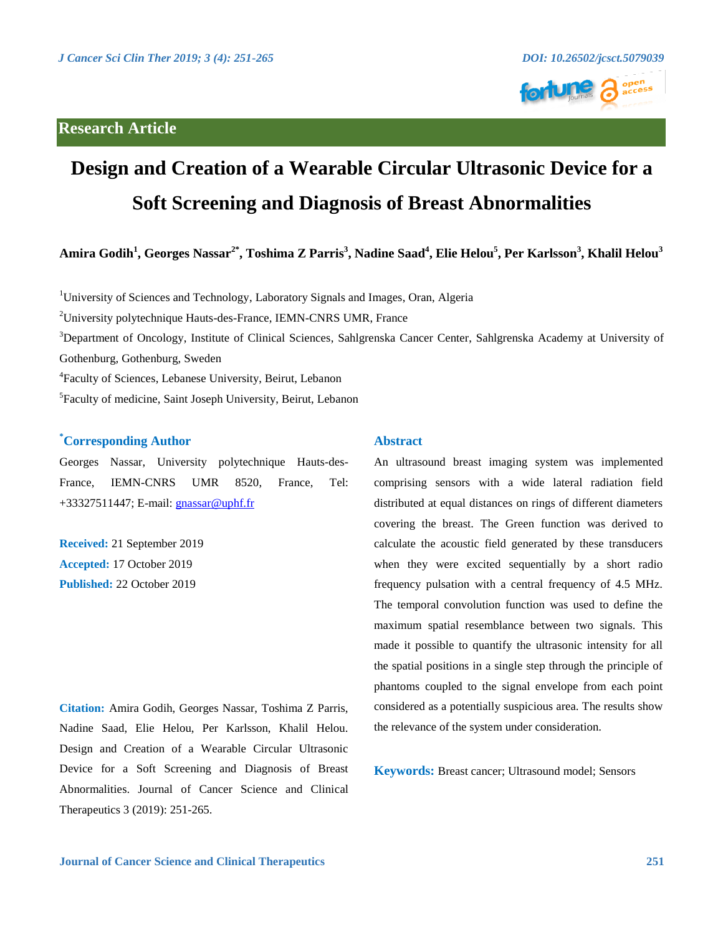

# **Design and Creation of a Wearable Circular Ultrasonic Device for a Soft Screening and Diagnosis of Breast Abnormalities**

**Amira Godih<sup>1</sup> , Georges Nassar2\*, Toshima Z Parris<sup>3</sup> , Nadine Saad<sup>4</sup> , Elie Helou<sup>5</sup> , Per Karlsson<sup>3</sup> , Khalil Helou<sup>3</sup>**

<sup>1</sup>University of Sciences and Technology, Laboratory Signals and Images, Oran, Algeria

<sup>2</sup>University polytechnique Hauts-des-France, IEMN-CNRS UMR, France

<sup>3</sup>Department of Oncology, Institute of Clinical Sciences, Sahlgrenska Cancer Center, Sahlgrenska Academy at University of Gothenburg, Gothenburg, Sweden

4 Faculty of Sciences, Lebanese University, Beirut, Lebanon

<sup>5</sup> Faculty of medicine, Saint Joseph University, Beirut, Lebanon

# **\*Corresponding Author**

Georges Nassar, University polytechnique Hauts-des-France, IEMN-CNRS UMR 8520, France, Tel: +33327511447; E-mail: [gnassar@uphf.fr](mailto:gnassar@uphf.fr)

**Received:** 21 September 2019 **Accepted:** 17 October 2019 **Published:** 22 October 2019

**Citation:** Amira Godih, Georges Nassar, Toshima Z Parris, Nadine Saad, Elie Helou, Per Karlsson, Khalil Helou. Design and Creation of a Wearable Circular Ultrasonic Device for a Soft Screening and Diagnosis of Breast Abnormalities. Journal of Cancer Science and Clinical Therapeutics 3 (2019): 251-265.

# **Abstract**

An ultrasound breast imaging system was implemented comprising sensors with a wide lateral radiation field distributed at equal distances on rings of different diameters covering the breast. The Green function was derived to calculate the acoustic field generated by these transducers when they were excited sequentially by a short radio frequency pulsation with a central frequency of 4.5 MHz. The temporal convolution function was used to define the maximum spatial resemblance between two signals. This made it possible to quantify the ultrasonic intensity for all the spatial positions in a single step through the principle of phantoms coupled to the signal envelope from each point considered as a potentially suspicious area. The results show the relevance of the system under consideration.

**Keywords:** Breast cancer; Ultrasound model; Sensors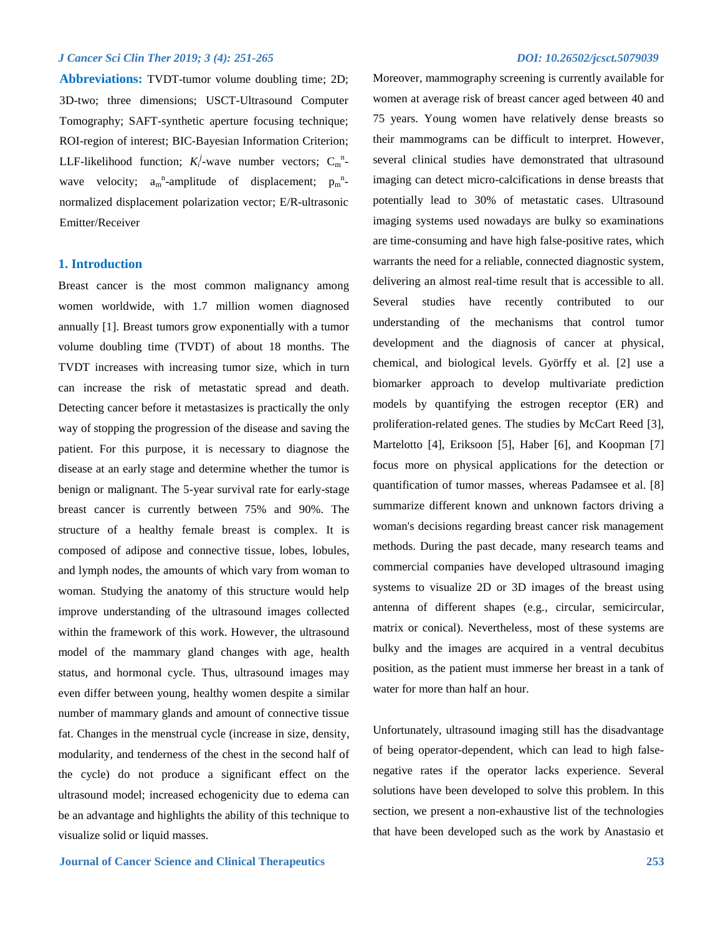**Abbreviations:** TVDT-tumor volume doubling time; 2D; 3D-two; three dimensions; USCT-Ultrasound Computer Tomography; SAFT-synthetic aperture focusing technique; ROI-region of interest; BIC-Bayesian Information Criterion; LLF-likelihood function;  $K_i^j$ -wave number vectors;  $C_m^n$ wave velocity;  $a_m^{\text{n}}$ -amplitude of displacement;  $p_m^{\text{n}}$ normalized displacement polarization vector; E/R-ultrasonic Emitter/Receiver

#### **1. Introduction**

Breast cancer is the most common malignancy among women worldwide, with 1.7 million women diagnosed annually [1]. Breast tumors grow exponentially with a tumor volume doubling time (TVDT) of about 18 months. The TVDT increases with increasing tumor size, which in turn can increase the risk of metastatic spread and death. Detecting cancer before it metastasizes is practically the only way of stopping the progression of the disease and saving the patient. For this purpose, it is necessary to diagnose the disease at an early stage and determine whether the tumor is benign or malignant. The 5-year survival rate for early-stage breast cancer is currently between 75% and 90%. The structure of a healthy female breast is complex. It is composed of adipose and connective tissue, lobes, lobules, and lymph nodes, the amounts of which vary from woman to woman. Studying the anatomy of this structure would help improve understanding of the ultrasound images collected within the framework of this work. However, the ultrasound model of the mammary gland changes with age, health status, and hormonal cycle. Thus, ultrasound images may even differ between young, healthy women despite a similar number of mammary glands and amount of connective tissue fat. Changes in the menstrual cycle (increase in size, density, modularity, and tenderness of the chest in the second half of the cycle) do not produce a significant effect on the ultrasound model; increased echogenicity due to edema can be an advantage and highlights the ability of this technique to visualize solid or liquid masses.

Moreover, mammography screening is currently available for women at average risk of breast cancer aged between 40 and 75 years. Young women have relatively dense breasts so their mammograms can be difficult to interpret. However, several clinical studies have demonstrated that ultrasound imaging can detect micro-calcifications in dense breasts that potentially lead to 30% of metastatic cases. Ultrasound imaging systems used nowadays are bulky so examinations are time-consuming and have high false-positive rates, which warrants the need for a reliable, connected diagnostic system, delivering an almost real-time result that is accessible to all. Several studies have recently contributed to our understanding of the mechanisms that control tumor development and the diagnosis of cancer at physical, chemical, and biological levels. Györffy et al. [2] use a biomarker approach to develop multivariate prediction models by quantifying the estrogen receptor (ER) and proliferation-related genes. The studies by McCart Reed [3], Martelotto [4], Eriksoon [5], Haber [6], and Koopman [7] focus more on physical applications for the detection or quantification of tumor masses, whereas Padamsee et al. [8] summarize different known and unknown factors driving a woman's decisions regarding breast cancer risk management methods. During the past decade, many research teams and commercial companies have developed ultrasound imaging systems to visualize 2D or 3D images of the breast using antenna of different shapes (e.g., circular, semicircular, matrix or conical). Nevertheless, most of these systems are bulky and the images are acquired in a ventral decubitus position, as the patient must immerse her breast in a tank of water for more than half an hour.

Unfortunately, ultrasound imaging still has the disadvantage of being operator-dependent, which can lead to high falsenegative rates if the operator lacks experience. Several solutions have been developed to solve this problem. In this section, we present a non-exhaustive list of the technologies that have been developed such as the work by Anastasio et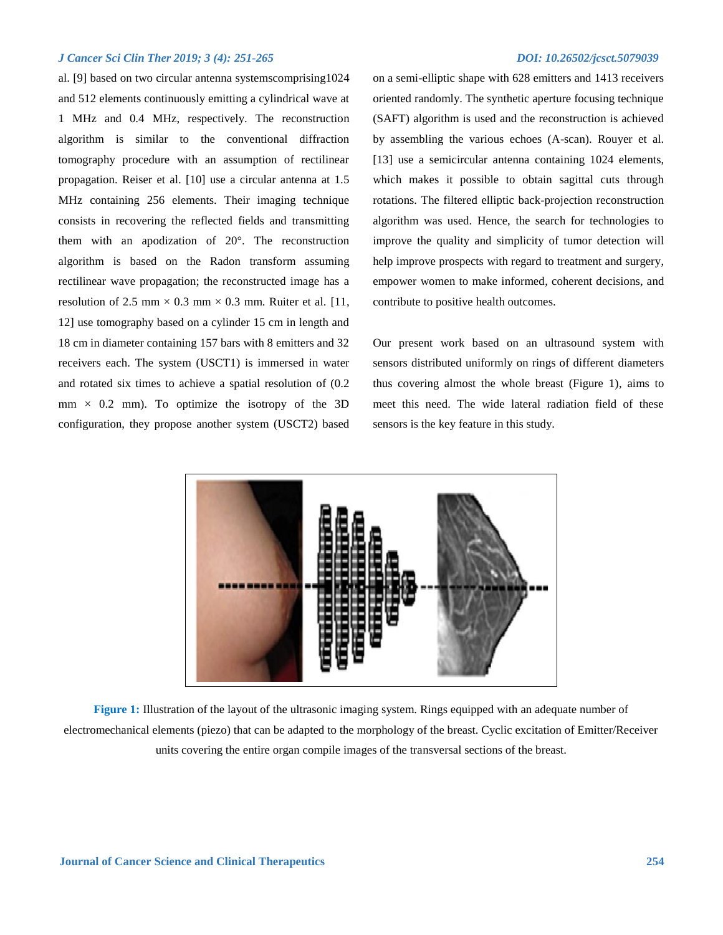al. [9] based on two circular antenna systemscomprising1024 and 512 elements continuously emitting a cylindrical wave at 1 MHz and 0.4 MHz, respectively. The reconstruction algorithm is similar to the conventional diffraction tomography procedure with an assumption of rectilinear propagation. Reiser et al. [10] use a circular antenna at 1.5 MHz containing 256 elements. Their imaging technique consists in recovering the reflected fields and transmitting them with an apodization of 20°. The reconstruction algorithm is based on the Radon transform assuming rectilinear wave propagation; the reconstructed image has a resolution of 2.5 mm  $\times$  0.3 mm  $\times$  0.3 mm. Ruiter et al. [11, 12] use tomography based on a cylinder 15 cm in length and 18 cm in diameter containing 157 bars with 8 emitters and 32 receivers each. The system (USCT1) is immersed in water and rotated six times to achieve a spatial resolution of (0.2  $mm \times 0.2$  mm). To optimize the isotropy of the 3D configuration, they propose another system (USCT2) based

on a semi-elliptic shape with 628 emitters and 1413 receivers oriented randomly. The synthetic aperture focusing technique (SAFT) algorithm is used and the reconstruction is achieved by assembling the various echoes (A-scan). Rouyer et al. [13] use a semicircular antenna containing 1024 elements, which makes it possible to obtain sagittal cuts through rotations. The filtered elliptic back-projection reconstruction algorithm was used. Hence, the search for technologies to improve the quality and simplicity of tumor detection will help improve prospects with regard to treatment and surgery, empower women to make informed, coherent decisions, and contribute to positive health outcomes.

Our present work based on an ultrasound system with sensors distributed uniformly on rings of different diameters thus covering almost the whole breast (Figure 1), aims to meet this need. The wide lateral radiation field of these sensors is the key feature in this study.



**Figure 1:** Illustration of the layout of the ultrasonic imaging system. Rings equipped with an adequate number of electromechanical elements (piezo) that can be adapted to the morphology of the breast. Cyclic excitation of Emitter/Receiver units covering the entire organ compile images of the transversal sections of the breast.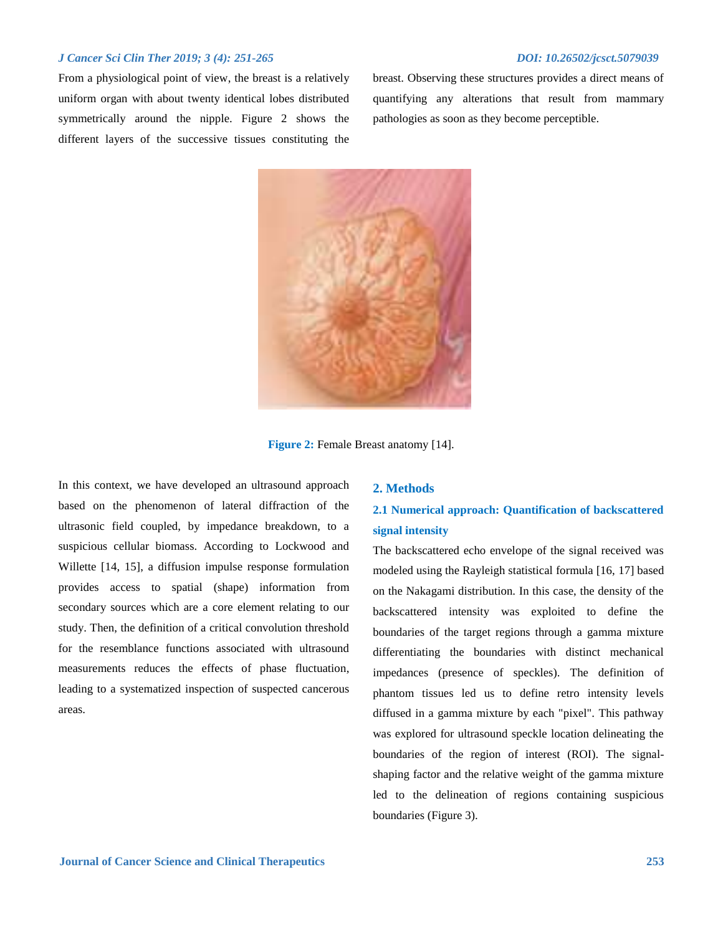From a physiological point of view, the breast is a relatively uniform organ with about twenty identical lobes distributed symmetrically around the nipple. Figure 2 shows the different layers of the successive tissues constituting the

breast. Observing these structures provides a direct means of quantifying any alterations that result from mammary pathologies as soon as they become perceptible.



**Figure 2:** Female Breast anatomy [14].

In this context, we have developed an ultrasound approach based on the phenomenon of lateral diffraction of the ultrasonic field coupled, by impedance breakdown, to a suspicious cellular biomass. According to Lockwood and Willette [14, 15], a diffusion impulse response formulation provides access to spatial (shape) information from secondary sources which are a core element relating to our study. Then, the definition of a critical convolution threshold for the resemblance functions associated with ultrasound measurements reduces the effects of phase fluctuation, leading to a systematized inspection of suspected cancerous areas.

### **2. Methods**

# **2.1 Numerical approach: Quantification of backscattered signal intensity**

The backscattered echo envelope of the signal received was modeled using the Rayleigh statistical formula [16, 17] based on the Nakagami distribution. In this case, the density of the backscattered intensity was exploited to define the boundaries of the target regions through a gamma mixture differentiating the boundaries with distinct mechanical impedances (presence of speckles). The definition of phantom tissues led us to define retro intensity levels diffused in a gamma mixture by each "pixel". This pathway was explored for ultrasound speckle location delineating the boundaries of the region of interest (ROI). The signalshaping factor and the relative weight of the gamma mixture led to the delineation of regions containing suspicious boundaries (Figure 3).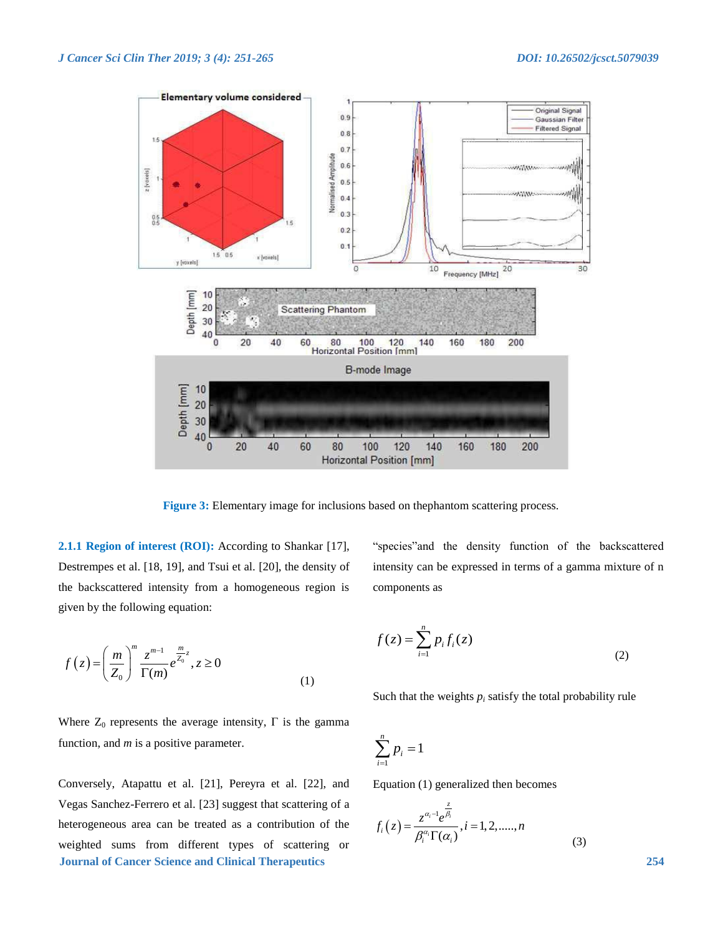

**Figure 3:** Elementary image for inclusions based on the phantom scattering process.

**2.1.1 Region of interest (ROI):** According to Shankar [17], Destrempes et al. [18, 19], and Tsui et al. [20], the density of the backscattered intensity from a homogeneous region is given by the following equation:

"species"and the density function of the backscattered intensity can be expressed in terms of a gamma mixture of n components as

$$
f(z) = \left(\frac{m}{Z_0}\right)^m \frac{z^{m-1}}{\Gamma(m)} e^{\frac{m}{Z_0}z}, z \ge 0
$$
\n(1)

$$
f(z) = \sum_{i=1}^{n} p_i f_i(z)
$$
 (2)

Such that the weights  $p_i$  satisfy the total probability rule

Where  $Z_0$  represents the average intensity,  $\Gamma$  is the gamma function, and *m* is a positive parameter.

**Journal of Cancer Science and Clinical Therapeutics 254** Conversely, Atapattu et al. [21], Pereyra et al. [22], and Vegas Sanchez-Ferrero et al. [23] suggest that scattering of a heterogeneous area can be treated as a contribution of the weighted sums from different types of scattering or

$$
\sum_{i=1}^n p_i = 1
$$

Equation (1) generalized then becomes

$$
f_i(z) = \frac{z^{\alpha_i - 1} e^{\frac{z}{\beta_i}}}{\beta_i^{\alpha_i} \Gamma(\alpha_i)}, i = 1, 2, \dots, n
$$
\n(3)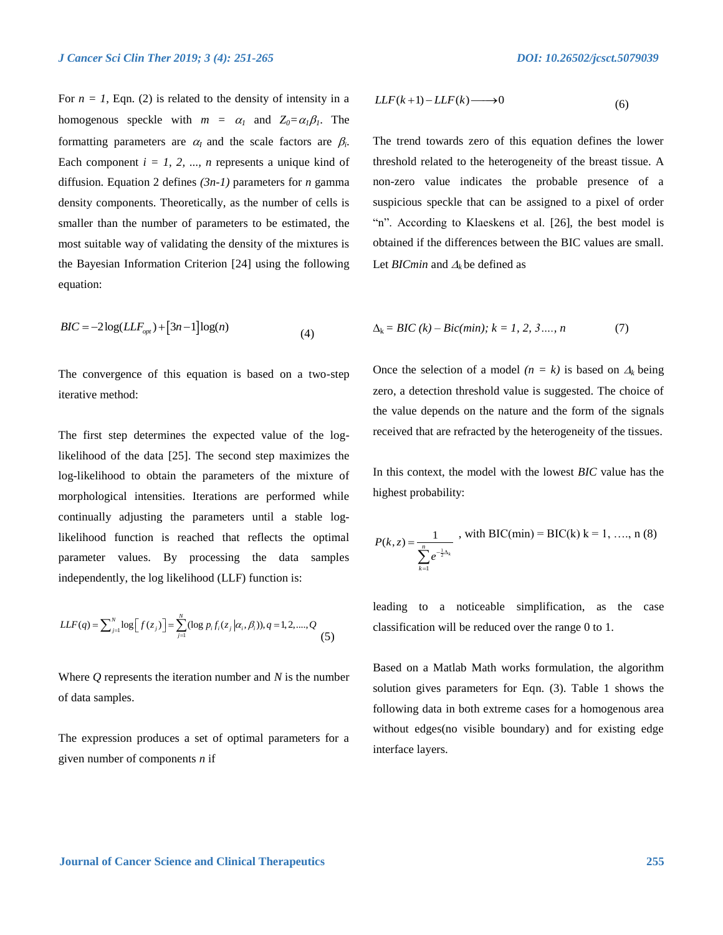For  $n = 1$ , Eqn. (2) is related to the density of intensity in a homogenous speckle with  $m = \alpha_1$  and  $Z_0 = \alpha_1 \beta_1$ . The formatting parameters are  $\alpha_l$  and the scale factors are  $\beta_l$ . Each component  $i = 1, 2, ..., n$  represents a unique kind of diffusion. Equation 2 defines *(3n-1)* parameters for *n* gamma density components. Theoretically, as the number of cells is smaller than the number of parameters to be estimated, the most suitable way of validating the density of the mixtures is the Bayesian Information Criterion [24] using the following equation:

$$
BIC = -2\log(LLF_{opt}) + [3n - 1]\log(n)
$$
\n(4)

The convergence of this equation is based on a two-step iterative method:

The first step determines the expected value of the loglikelihood of the data [25]. The second step maximizes the log-likelihood to obtain the parameters of the mixture of morphological intensities. Iterations are performed while continually adjusting the parameters until a stable loglikelihood function is reached that reflects the optimal parameter values. By processing the data samples

independently, the log likelihood (LLF) function is:  
\n
$$
LLF(q) = \sum_{j=1}^{N} \log [f(z_j)] = \sum_{j=1}^{N} (\log p_i f_i(z_j | \alpha_i, \beta_i))
$$
\n
$$
q = 1, 2, \dots, Q
$$
\n(5)

Where *Q* represents the iteration number and *N* is the number of data samples.

The expression produces a set of optimal parameters for a given number of components *n* if

$$
LLF(k+1) - LLF(k) \longrightarrow 0 \tag{6}
$$

The trend towards zero of this equation defines the lower threshold related to the heterogeneity of the breast tissue. A non-zero value indicates the probable presence of a suspicious speckle that can be assigned to a pixel of order "n". According to Klaeskens et al. [26], the best model is obtained if the differences between the BIC values are small. Let *BICmin* and  $\Delta_k$  be defined as

$$
\Delta_k = BIC (k) - Bic(min); k = 1, 2, 3..., n \tag{7}
$$

Once the selection of a model  $(n = k)$  is based on  $\Delta_k$  being zero, a detection threshold value is suggested. The choice of the value depends on the nature and the form of the signals received that are refracted by the heterogeneity of the tissues.

In this context, the model with the lowest *BIC* value has the highest probability:

$$
P(k, z) = \frac{1}{\sum_{k=1}^{n} e^{-\frac{1}{2}\Delta_k}}
$$
, with BIC(min) = BIC(k) k = 1, ..., n (8)

leading to a noticeable simplification, as the case classification will be reduced over the range 0 to 1.

Based on a Matlab Math works formulation, the algorithm solution gives parameters for Eqn. (3). Table 1 shows the following data in both extreme cases for a homogenous area without edges(no visible boundary) and for existing edge interface layers.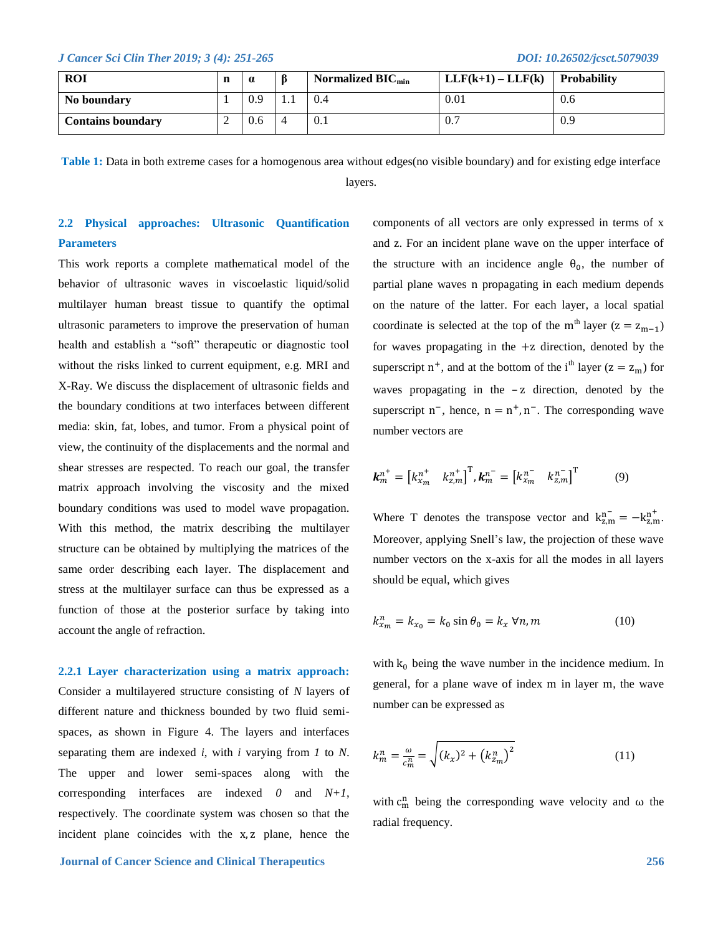| <b>ROI</b>               | n   | $\alpha$ | Normalized $BIC_{min}$ | $LLF(k+1) - LLF(k)$ | Probability |
|--------------------------|-----|----------|------------------------|---------------------|-------------|
| No boundary              |     | 0.9      | <br>0.4                | 0.01                | 0.6         |
| <b>Contains boundary</b> | . . | 0.6      | 0.1                    | 0.7                 | 0.9         |

**Table 1:** Data in both extreme cases for a homogenous area without edges(no visible boundary) and for existing edge interface layers.

# **2.2 Physical approaches: Ultrasonic Quantification Parameters**

This work reports a complete mathematical model of the behavior of ultrasonic waves in viscoelastic liquid/solid multilayer human breast tissue to quantify the optimal ultrasonic parameters to improve the preservation of human health and establish a "soft" therapeutic or diagnostic tool without the risks linked to current equipment, e.g. MRI and X-Ray. We discuss the displacement of ultrasonic fields and the boundary conditions at two interfaces between different media: skin, fat, lobes, and tumor. From a physical point of view, the continuity of the displacements and the normal and shear stresses are respected. To reach our goal, the transfer matrix approach involving the viscosity and the mixed boundary conditions was used to model wave propagation. With this method, the matrix describing the multilayer structure can be obtained by multiplying the matrices of the same order describing each layer. The displacement and stress at the multilayer surface can thus be expressed as a function of those at the posterior surface by taking into account the angle of refraction.

**2.2.1 Layer characterization using a matrix approach:**  Consider a multilayered structure consisting of *N* layers of different nature and thickness bounded by two fluid semispaces, as shown in Figure 4. The layers and interfaces separating them are indexed *i*, with *i* varying from *1* to *N*. The upper and lower semi-spaces along with the corresponding interfaces are indexed *0* and *N+1*, respectively. The coordinate system was chosen so that the incident plane coincides with the x, z plane, hence the components of all vectors are only expressed in terms of x and z. For an incident plane wave on the upper interface of the structure with an incidence angle  $\theta_0$ , the number of partial plane waves n propagating in each medium depends on the nature of the latter. For each layer, a local spatial coordinate is selected at the top of the m<sup>th</sup> layer  $(z = z_{m-1})$ for waves propagating in the  $+z$  direction, denoted by the superscript  $n^+$ , and at the bottom of the i<sup>th</sup> layer ( $z = z_m$ ) for waves propagating in the -z direction, denoted by the superscript  $n^{-}$ , hence,  $n = n^{+}$ ,  $n^{-}$ . The corresponding wave number vectors are

$$
\boldsymbol{k}_{m}^{n^{+}} = \begin{bmatrix} k_{x_{m}}^{n^{+}} & k_{z,m}^{n^{+}} \end{bmatrix}^{T}, \boldsymbol{k}_{m}^{n^{-}} = \begin{bmatrix} k_{x_{m}}^{n^{-}} & k_{z,m}^{n^{-}} \end{bmatrix}^{T} \tag{9}
$$

Where T denotes the transpose vector and  $k_{z,m}^{n^-} = -k_{z,m}^{n^+}$ . Moreover, applying Snell's law, the projection of these wave number vectors on the x-axis for all the modes in all layers should be equal, which gives

$$
k_{x_m}^n = k_{x_0} = k_0 \sin \theta_0 = k_x \,\forall n, m \tag{10}
$$

with  $k_0$  being the wave number in the incidence medium. In general, for a plane wave of index m in layer m, the wave number can be expressed as

$$
k_m^n = \frac{\omega}{c_m^n} = \sqrt{(k_x)^2 + (k_{z_m}^n)^2}
$$
 (11)

with  $c_m^n$  being the corresponding wave velocity and  $\omega$  the radial frequency.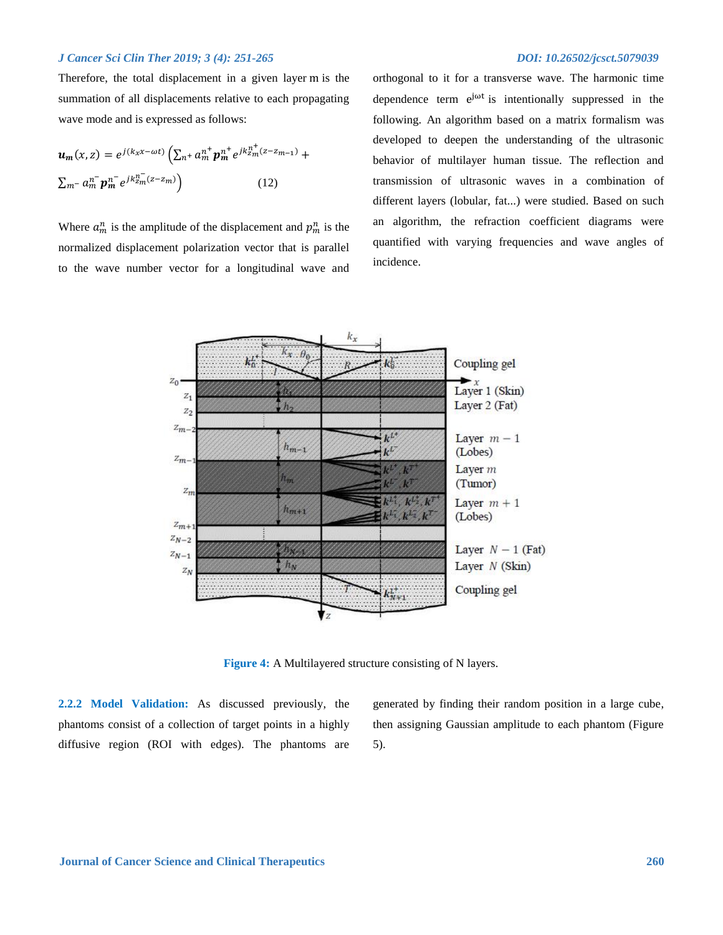Therefore, the total displacement in a given layer m is the summation of all displacements relative to each propagating wave mode and is expressed as follows:

$$
\mathbf{u}_{m}(x, z) = e^{j(k_{x}x - \omega t)} \left( \sum_{n}^{n+} a_{m}^{n+} p_{m}^{n+} e^{jk_{2m}^{n+}(z - z_{m-1})} + \sum_{m}^{n-} a_{m}^{n-} p_{m}^{n-} e^{jk_{2m}^{n-}(z - z_{m})} \right)
$$
(12)

Where  $a_m^n$  is the amplitude of the displacement and  $p_m^n$  is the normalized displacement polarization vector that is parallel to the wave number vector for a longitudinal wave and

orthogonal to it for a transverse wave. The harmonic time dependence term  $e^{j\omega t}$  is intentionally suppressed in the following. An algorithm based on a matrix formalism was developed to deepen the understanding of the ultrasonic behavior of multilayer human tissue. The reflection and transmission of ultrasonic waves in a combination of different layers (lobular, fat...) were studied. Based on such an algorithm, the refraction coefficient diagrams were quantified with varying frequencies and wave angles of incidence.



**Figure 4:** A Multilayered structure consisting of N layers.

**2.2.2 Model Validation:** As discussed previously, the phantoms consist of a collection of target points in a highly diffusive region (ROI with edges). The phantoms are

generated by finding their random position in a large cube, then assigning Gaussian amplitude to each phantom (Figure 5).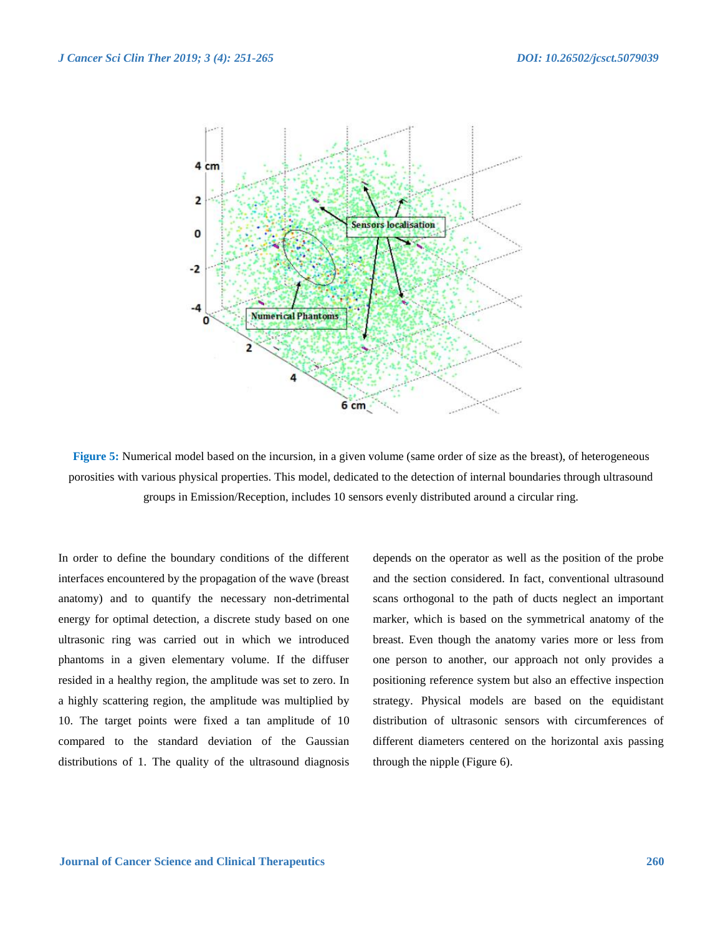

**Figure 5:** Numerical model based on the incursion, in a given volume (same order of size as the breast), of heterogeneous porosities with various physical properties. This model, dedicated to the detection of internal boundaries through ultrasound groups in Emission/Reception, includes 10 sensors evenly distributed around a circular ring.

In order to define the boundary conditions of the different interfaces encountered by the propagation of the wave (breast anatomy) and to quantify the necessary non-detrimental energy for optimal detection, a discrete study based on one ultrasonic ring was carried out in which we introduced phantoms in a given elementary volume. If the diffuser resided in a healthy region, the amplitude was set to zero. In a highly scattering region, the amplitude was multiplied by 10. The target points were fixed a tan amplitude of 10 compared to the standard deviation of the Gaussian distributions of 1. The quality of the ultrasound diagnosis

depends on the operator as well as the position of the probe and the section considered. In fact, conventional ultrasound scans orthogonal to the path of ducts neglect an important marker, which is based on the symmetrical anatomy of the breast. Even though the anatomy varies more or less from one person to another, our approach not only provides a positioning reference system but also an effective inspection strategy. Physical models are based on the equidistant distribution of ultrasonic sensors with circumferences of different diameters centered on the horizontal axis passing through the nipple (Figure 6).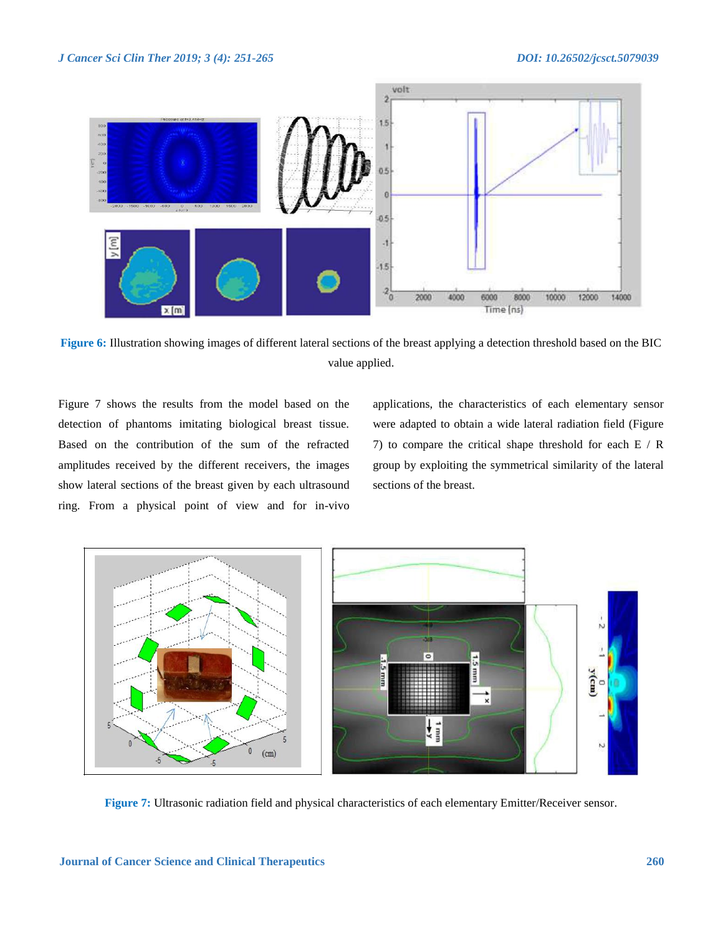

**Figure 6:** Illustration showing images of different lateral sections of the breast applying a detection threshold based on the BIC value applied.

Figure 7 shows the results from the model based on the detection of phantoms imitating biological breast tissue. Based on the contribution of the sum of the refracted amplitudes received by the different receivers, the images show lateral sections of the breast given by each ultrasound ring. From a physical point of view and for in-vivo

applications, the characteristics of each elementary sensor were adapted to obtain a wide lateral radiation field (Figure 7) to compare the critical shape threshold for each E / R group by exploiting the symmetrical similarity of the lateral sections of the breast.



**Figure 7:** Ultrasonic radiation field and physical characteristics of each elementary Emitter/Receiver sensor.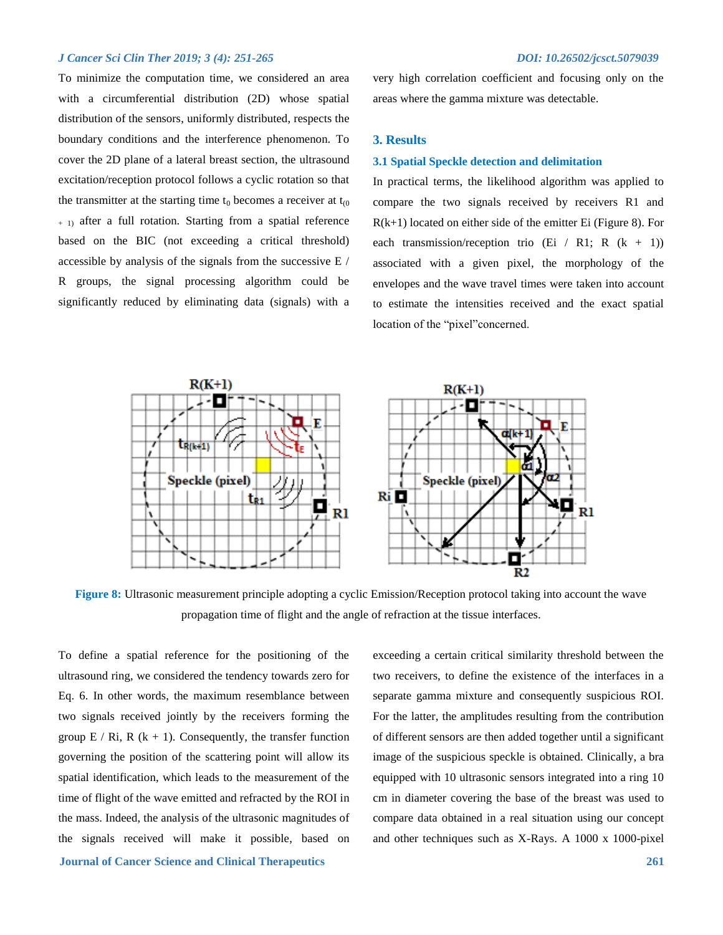To minimize the computation time, we considered an area with a circumferential distribution (2D) whose spatial distribution of the sensors, uniformly distributed, respects the boundary conditions and the interference phenomenon. To cover the 2D plane of a lateral breast section, the ultrasound excitation/reception protocol follows a cyclic rotation so that the transmitter at the starting time  $t_0$  becomes a receiver at  $t_{(0)}$  $+$  1) after a full rotation. Starting from a spatial reference based on the BIC (not exceeding a critical threshold) accessible by analysis of the signals from the successive E / R groups, the signal processing algorithm could be significantly reduced by eliminating data (signals) with a

very high correlation coefficient and focusing only on the areas where the gamma mixture was detectable.

#### **3. Results**

#### **3.1 Spatial Speckle detection and delimitation**

In practical terms, the likelihood algorithm was applied to compare the two signals received by receivers R1 and  $R(k+1)$  located on either side of the emitter Ei (Figure 8). For each transmission/reception trio (Ei / R1; R  $(k + 1)$ ) associated with a given pixel, the morphology of the envelopes and the wave travel times were taken into account to estimate the intensities received and the exact spatial location of the "pixel"concerned.



**Figure 8:** Ultrasonic measurement principle adopting a cyclic Emission/Reception protocol taking into account the wave propagation time of flight and the angle of refraction at the tissue interfaces.

To define a spatial reference for the positioning of the ultrasound ring, we considered the tendency towards zero for Eq. 6. In other words, the maximum resemblance between two signals received jointly by the receivers forming the group  $E / Ri$ ,  $R (k + 1)$ . Consequently, the transfer function governing the position of the scattering point will allow its spatial identification, which leads to the measurement of the time of flight of the wave emitted and refracted by the ROI in the mass. Indeed, the analysis of the ultrasonic magnitudes of the signals received will make it possible, based on

exceeding a certain critical similarity threshold between the two receivers, to define the existence of the interfaces in a separate gamma mixture and consequently suspicious ROI. For the latter, the amplitudes resulting from the contribution of different sensors are then added together until a significant image of the suspicious speckle is obtained. Clinically, a bra equipped with 10 ultrasonic sensors integrated into a ring 10 cm in diameter covering the base of the breast was used to compare data obtained in a real situation using our concept and other techniques such as X-Rays. A 1000 x 1000-pixel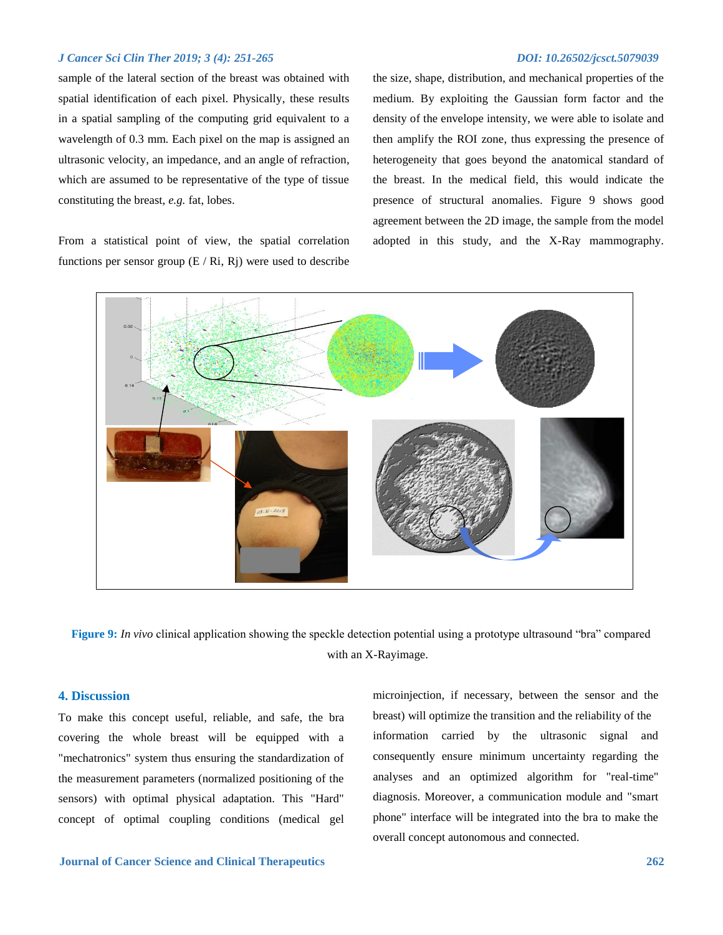sample of the lateral section of the breast was obtained with spatial identification of each pixel. Physically, these results in a spatial sampling of the computing grid equivalent to a wavelength of 0.3 mm. Each pixel on the map is assigned an ultrasonic velocity, an impedance, and an angle of refraction, which are assumed to be representative of the type of tissue constituting the breast, *e.g.* fat, lobes.

From a statistical point of view, the spatial correlation functions per sensor group  $(E / Ri, Ri)$  were used to describe the size, shape, distribution, and mechanical properties of the medium. By exploiting the Gaussian form factor and the density of the envelope intensity, we were able to isolate and then amplify the ROI zone, thus expressing the presence of heterogeneity that goes beyond the anatomical standard of the breast. In the medical field, this would indicate the presence of structural anomalies. Figure 9 shows good agreement between the 2D image, the sample from the model adopted in this study, and the X-Ray mammography.



**Figure 9:** *In vivo* clinical application showing the speckle detection potential using a prototype ultrasound "bra" compared with an X-Rayimage.

# **4. Discussion**

To make this concept useful, reliable, and safe, the bra covering the whole breast will be equipped with a "mechatronics" system thus ensuring the standardization of the measurement parameters (normalized positioning of the sensors) with optimal physical adaptation. This "Hard" concept of optimal coupling conditions (medical gel microinjection, if necessary, between the sensor and the breast) will optimize the transition and the reliability of the information carried by the ultrasonic signal and consequently ensure minimum uncertainty regarding the analyses and an optimized algorithm for "real-time" diagnosis. Moreover, a communication module and "smart phone" interface will be integrated into the bra to make the overall concept autonomous and connected.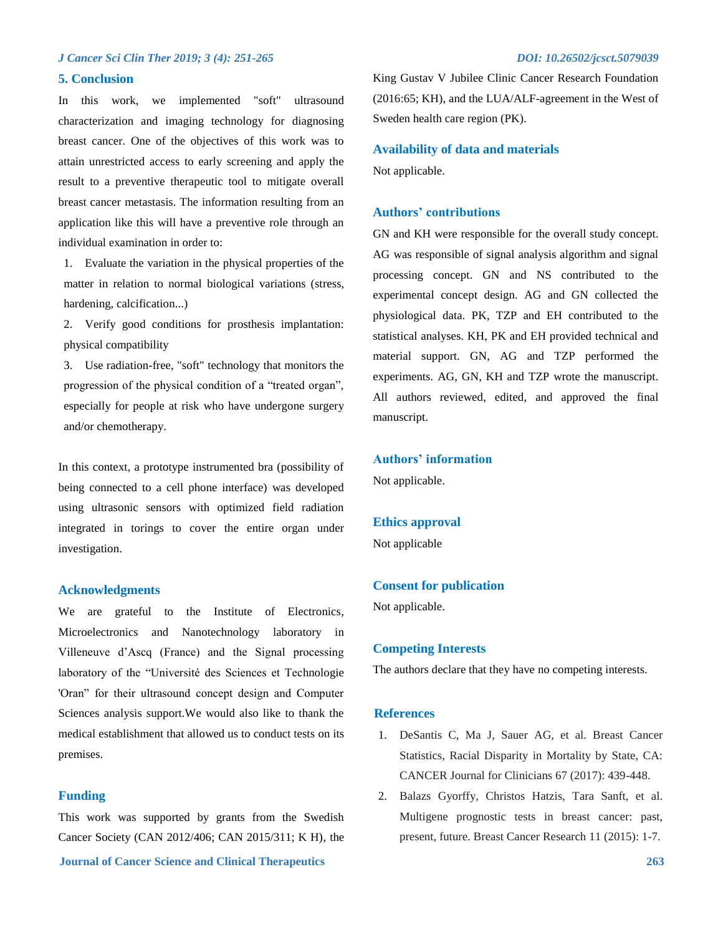#### **5. Conclusion**

In this work, we implemented "soft" ultrasound characterization and imaging technology for diagnosing breast cancer. One of the objectives of this work was to attain unrestricted access to early screening and apply the result to a preventive therapeutic tool to mitigate overall breast cancer metastasis. The information resulting from an application like this will have a preventive role through an individual examination in order to:

1. Evaluate the variation in the physical properties of the matter in relation to normal biological variations (stress, hardening, calcification...)

2. Verify good conditions for prosthesis implantation: physical compatibility

3. Use radiation-free, "soft" technology that monitors the progression of the physical condition of a "treated organ", especially for people at risk who have undergone surgery and/or chemotherapy.

In this context, a prototype instrumented bra (possibility of being connected to a cell phone interface) was developed using ultrasonic sensors with optimized field radiation integrated in torings to cover the entire organ under investigation.

# **Acknowledgments**

We are grateful to the Institute of Electronics, Microelectronics and Nanotechnology laboratory in Villeneuve d'Ascq (France) and the Signal processing laboratory of the "Université des Sciences et Technologie 'Oran" for their ultrasound concept design and Computer Sciences analysis support.We would also like to thank the medical establishment that allowed us to conduct tests on its premises.

### **Funding**

**Journal of Cancer Science and Clinical Therapeutics 263** This work was supported by grants from the Swedish Cancer Society (CAN 2012/406; CAN 2015/311; K H), the

King Gustav V Jubilee Clinic Cancer Research Foundation (2016:65; KH), and the LUA/ALF-agreement in the West of Sweden health care region (PK).

### **Availability of data and materials**

Not applicable.

#### **Authors' contributions**

GN and KH were responsible for the overall study concept. AG was responsible of signal analysis algorithm and signal processing concept. GN and NS contributed to the experimental concept design. AG and GN collected the physiological data. PK, TZP and EH contributed to the statistical analyses. KH, PK and EH provided technical and material support. GN, AG and TZP performed the experiments. AG, GN, KH and TZP wrote the manuscript. All authors reviewed, edited, and approved the final manuscript.

# **Authors' information**

Not applicable.

#### **Ethics approval**

Not applicable

### **Consent for publication**

Not applicable.

#### **Competing Interests**

The authors declare that they have no competing interests.

#### **References**

- 1. DeSantis C, Ma J, Sauer AG, et al. Breast Cancer Statistics, Racial Disparity in Mortality by State, CA: CANCER Journal for Clinicians 67 (2017): 439-448.
- 2. Balazs Gyorffy, Christos Hatzis, Tara Sanft, et al. Multigene prognostic tests in breast cancer: past, present, future. Breast Cancer Research 11 (2015): 1-7.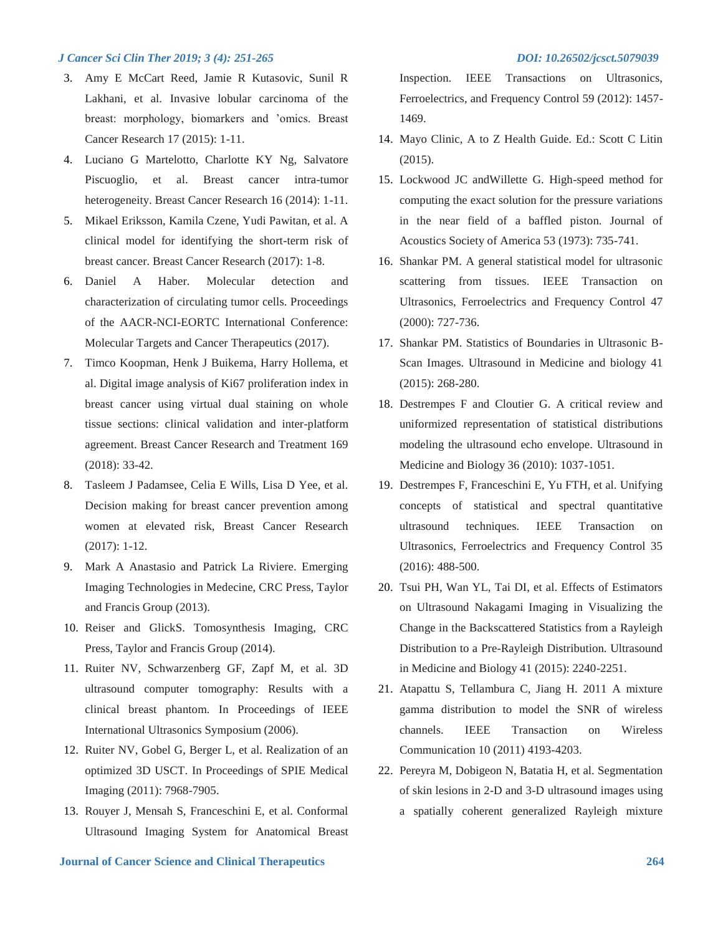- 3. Amy E McCart Reed, Jamie R Kutasovic, Sunil R Lakhani, et al. Invasive lobular carcinoma of the breast: morphology, biomarkers and 'omics. Breast Cancer Research 17 (2015): 1-11.
- 4. Luciano G Martelotto, Charlotte KY Ng, Salvatore Piscuoglio, et al. Breast cancer intra-tumor heterogeneity. Breast Cancer Research 16 (2014): 1-11.
- 5. Mikael Eriksson, Kamila Czene, Yudi Pawitan, et al. A clinical model for identifying the short-term risk of breast cancer. Breast Cancer Research (2017): 1-8.
- 6. Daniel A Haber. Molecular detection and characterization of circulating tumor cells. Proceedings of the AACR-NCI-EORTC International Conference: Molecular Targets and Cancer Therapeutics (2017).
- 7. Timco Koopman, Henk J Buikema, Harry Hollema, et al. Digital image analysis of Ki67 proliferation index in breast cancer using virtual dual staining on whole tissue sections: clinical validation and inter-platform agreement. Breast Cancer Research and Treatment 169 (2018): 33-42.
- 8. Tasleem J Padamsee, Celia E Wills, Lisa D Yee, et al. Decision making for breast cancer prevention among women at elevated risk, Breast Cancer Research (2017): 1-12.
- 9. Mark A Anastasio and Patrick La Riviere. Emerging Imaging Technologies in Medecine, CRC Press, Taylor and Francis Group (2013).
- 10. Reiser and GlickS. Tomosynthesis Imaging, CRC Press, Taylor and Francis Group (2014).
- 11. Ruiter NV, Schwarzenberg GF, Zapf M, et al. 3D ultrasound computer tomography: Results with a clinical breast phantom. In Proceedings of IEEE International Ultrasonics Symposium (2006).
- 12. Ruiter NV, Gobel G, Berger L, et al. Realization of an optimized 3D USCT. In Proceedings of SPIE Medical Imaging (2011): 7968-7905.
- 13. Rouyer J, Mensah S, Franceschini E, et al. Conformal Ultrasound Imaging System for Anatomical Breast

Inspection. IEEE Transactions on Ultrasonics, Ferroelectrics, and Frequency Control 59 (2012): 1457- 1469.

- 14. Mayo Clinic, A to Z Health Guide. Ed.: Scott C Litin (2015).
- 15. Lockwood JC andWillette G. High-speed method for computing the exact solution for the pressure variations in the near field of a baffled piston. Journal of Acoustics Society of America 53 (1973): 735-741.
- 16. Shankar PM. A general statistical model for ultrasonic scattering from tissues. IEEE Transaction on Ultrasonics, Ferroelectrics and Frequency Control 47 (2000): 727-736.
- 17. Shankar PM. Statistics of Boundaries in Ultrasonic B-Scan Images. Ultrasound in Medicine and biology 41 (2015): 268-280.
- 18. Destrempes F and Cloutier G. A critical review and uniformized representation of statistical distributions modeling the ultrasound echo envelope. Ultrasound in Medicine and Biology 36 (2010): 1037-1051.
- 19. Destrempes F, Franceschini E, Yu FTH, et al. Unifying concepts of statistical and spectral quantitative ultrasound techniques. IEEE Transaction on Ultrasonics, Ferroelectrics and Frequency Control 35 (2016): 488-500.
- 20. Tsui PH, Wan YL, Tai DI, et al. Effects of Estimators on Ultrasound Nakagami Imaging in Visualizing the Change in the Backscattered Statistics from a Rayleigh Distribution to a Pre-Rayleigh Distribution. Ultrasound in Medicine and Biology 41 (2015): 2240-2251.
- 21. Atapattu S, Tellambura C, Jiang H. 2011 A mixture gamma distribution to model the SNR of wireless channels. IEEE Transaction on Wireless Communication 10 (2011) 4193-4203.
- 22. Pereyra M, Dobigeon N, Batatia H, et al. Segmentation of skin lesions in 2-D and 3-D ultrasound images using a spatially coherent generalized Rayleigh mixture